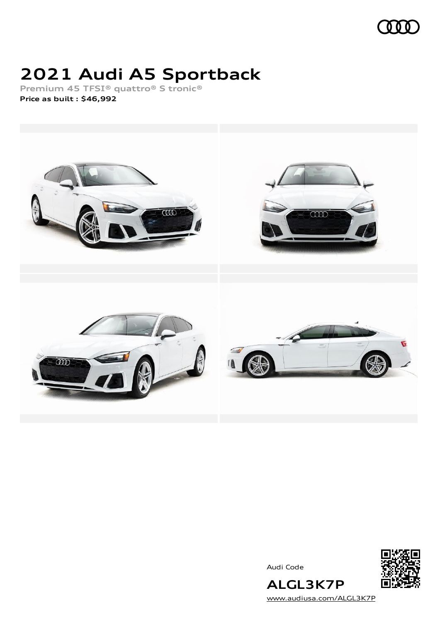

# **2021 Audi A5 Sportback**

**Premium 45 TFSI® quattro® S tronic® Price as built [:](#page-9-0) \$46,992**



Audi Code



[www.audiusa.com/ALGL3K7P](https://www.audiusa.com/ALGL3K7P)

**ALGL3K7P**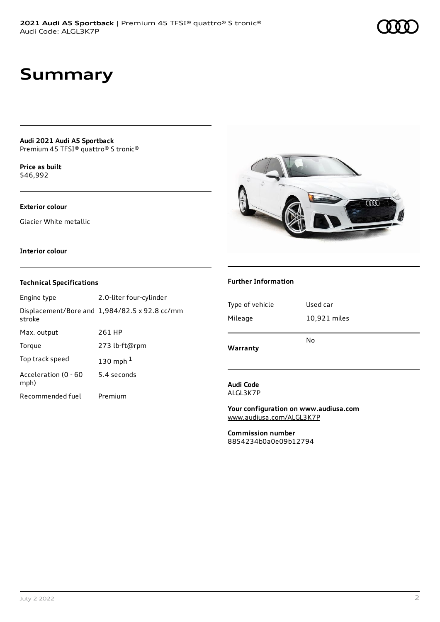## **Summary**

**Audi 2021 Audi A5 Sportback** Premium 45 TFSI® quattro® S tronic®

**Price as buil[t](#page-9-0)** \$46,992

### **Exterior colour**

Glacier White metallic



#### **Interior colour**

### **Technical Specifications**

| Engine type                  | 2.0-liter four-cylinder                              |
|------------------------------|------------------------------------------------------|
| stroke                       | Displacement/Bore and $1,984/82.5 \times 92.8$ cc/mm |
| Max. output                  | 261 HP                                               |
| Torque                       | 273 lb-ft@rpm                                        |
| Top track speed              | 130 mph $1$                                          |
| Acceleration (0 - 60<br>mph) | 5.4 seconds                                          |
| Recommended fuel             | Premium                                              |

#### **Further Information**

| Type of vehicle | Used car     |
|-----------------|--------------|
| Mileage         | 10,921 miles |
| Warranty        | No           |

#### **Audi Code** ALGL3K7P

**Your configuration on www.audiusa.com** [www.audiusa.com/ALGL3K7P](https://www.audiusa.com/ALGL3K7P)

**Commission number** 8854234b0a0e09b12794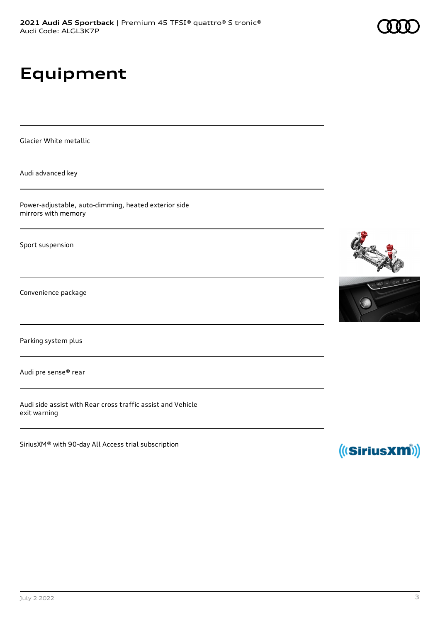# **Equipment**

Glacier White metallic

Audi advanced key

Power-adjustable, auto-dimming, heated exterior side mirrors with memory

Sport suspension

Convenience package

Parking system plus

Audi pre sense® rear

Audi side assist with Rear cross traffic assist and Vehicle exit warning

SiriusXM® with 90-day All Access trial subscription





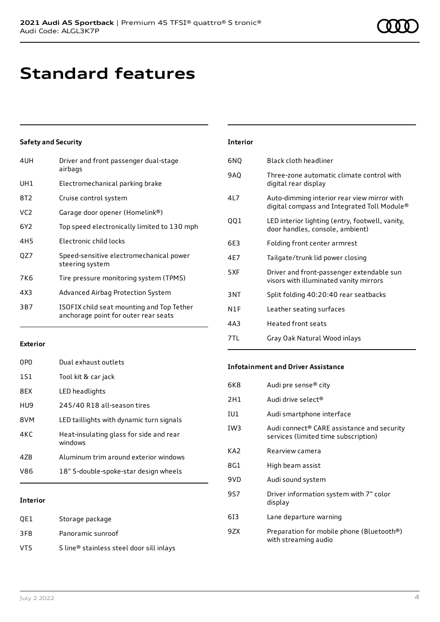## **Standard features**

### **Safety and Security**

| Driver and front passenger dual-stage<br>airbags                                  |
|-----------------------------------------------------------------------------------|
| Electromechanical parking brake                                                   |
| Cruise control system                                                             |
| Garage door opener (Homelink®)                                                    |
| Top speed electronically limited to 130 mph                                       |
| Electronic child locks                                                            |
| Speed-sensitive electromechanical power<br>steering system                        |
| Tire pressure monitoring system (TPMS)                                            |
| Advanced Airbag Protection System                                                 |
| ISOFIX child seat mounting and Top Tether<br>anchorage point for outer rear seats |
|                                                                                   |

#### **Exterior**

| 0PO | Dual exhaust outlets                               |
|-----|----------------------------------------------------|
| 1S1 | Tool kit & car jack                                |
| 8FX | LED headlights                                     |
| HU9 | 245/40 R18 all-season tires                        |
| 8VM | LED taillights with dynamic turn signals           |
| 4KC | Heat-insulating glass for side and rear<br>windows |
| 47R | Aluminum trim around exterior windows              |
| V86 | 18" 5-double-spoke-star design wheels              |
|     |                                                    |

### **Interior**

| OE1 | Storage package                          |
|-----|------------------------------------------|
| 3FB | Panoramic sunroof                        |
| VT5 | S line® stainless steel door sill inlays |

| <b>Interior</b> |                                                                                            |
|-----------------|--------------------------------------------------------------------------------------------|
| 6NQ             | Black cloth headliner                                                                      |
| 9AQ             | Three-zone automatic climate control with<br>digital rear display                          |
| 41 7            | Auto-dimming interior rear view mirror with<br>digital compass and Integrated Toll Module® |
| QQ1             | LED interior lighting (entry, footwell, vanity,<br>door handles, console, ambient)         |
| 6E3             | Folding front center armrest                                                               |
| 4E7             | Tailgate/trunk lid power closing                                                           |
| 5XF             | Driver and front-passenger extendable sun<br>visors with illuminated vanity mirrors        |
| 3NT             | Split folding 40:20:40 rear seatbacks                                                      |
| N1F             | Leather seating surfaces                                                                   |
| 4A3             | <b>Heated front seats</b>                                                                  |
| 7TL             | Gray Oak Natural Wood inlays                                                               |

#### **Infotainment and Driver Assistance**

| 6K8             | Audi pre sense® city                                                               |
|-----------------|------------------------------------------------------------------------------------|
| 2H1             | Audi drive select <sup>®</sup>                                                     |
| IU1             | Audi smartphone interface                                                          |
| IW <sub>3</sub> | Audi connect® CARE assistance and security<br>services (limited time subscription) |
| KA2             | Rearview camera                                                                    |
| 8G1             | High beam assist                                                                   |
| 9VD             | Audi sound system                                                                  |
| 9S7             | Driver information system with 7" color<br>display                                 |
| 613             | Lane departure warning                                                             |
| 9ZX             | Preparation for mobile phone (Bluetooth®)<br>with streaming audio                  |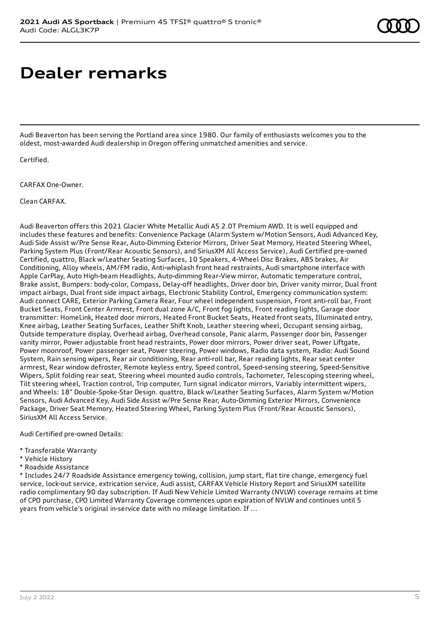# **Dealer remarks**

Audi Beaverton has been serving the Portland area since 1980. Our family of enthusiasts welcomes you to the oldest, most-awarded Audi dealership in Oregon offering unmatched amenities and service.

Certified.

CARFAX One-Owner.

Clean CARFAX.

Audi Beaverton offers this 2021 Glacier White Metallic Audi A5 2.0T Premium AWD. It is well equipped and includes these features and benefits: Convenience Package (Alarm System w/Motion Sensors, Audi Advanced Key, Audi Side Assist w/Pre Sense Rear, Auto-Dimming Exterior Mirrors, Driver Seat Memory, Heated Steering Wheel, Parking System Plus (Front/Rear Acoustic Sensors), and SiriusXM All Access Service), Audi Certified pre-owned Certified, quattro, Black w/Leather Seating Surfaces, 10 Speakers, 4-Wheel Disc Brakes, ABS brakes, Air Conditioning, Alloy wheels, AM/FM radio, Anti-whiplash front head restraints, Audi smartphone interface with Apple CarPlay, Auto High-beam Headlights, Auto-dimming Rear-View mirror, Automatic temperature control, Brake assist, Bumpers: body-color, Compass, Delay-off headlights, Driver door bin, Driver vanity mirror, Dual front impact airbags, Dual front side impact airbags, Electronic Stability Control, Emergency communication system: Audi connect CARE, Exterior Parking Camera Rear, Four wheel independent suspension, Front anti-roll bar, Front Bucket Seats, Front Center Armrest, Front dual zone A/C, Front fog lights, Front reading lights, Garage door transmitter: HomeLink, Heated door mirrors, Heated Front Bucket Seats, Heated front seats, Illuminated entry, Knee airbag, Leather Seating Surfaces, Leather Shift Knob, Leather steering wheel, Occupant sensing airbag, Outside temperature display, Overhead airbag, Overhead console, Panic alarm, Passenger door bin, Passenger vanity mirror, Power adjustable front head restraints, Power door mirrors, Power driver seat, Power Liftgate, Power moonroof, Power passenger seat, Power steering, Power windows, Radio data system, Radio: Audi Sound System, Rain sensing wipers, Rear air conditioning, Rear anti-roll bar, Rear reading lights, Rear seat center armrest, Rear window defroster, Remote keyless entry, Speed control, Speed-sensing steering, Speed-Sensitive Wipers, Split folding rear seat, Steering wheel mounted audio controls, Tachometer, Telescoping steering wheel, Tilt steering wheel, Traction control, Trip computer, Turn signal indicator mirrors, Variably intermittent wipers, and Wheels: 18" Double-Spoke-Star Design. quattro, Black w/Leather Seating Surfaces, Alarm System w/Motion Sensors, Audi Advanced Key, Audi Side Assist w/Pre Sense Rear, Auto-Dimming Exterior Mirrors, Convenience Package, Driver Seat Memory, Heated Steering Wheel, Parking System Plus (Front/Rear Acoustic Sensors), SiriusXM All Access Service.

Audi Certified pre-owned Details:

- \* Transferable Warranty
- \* Vehicle History
- \* Roadside Assistance

\* Includes 24/7 Roadside Assistance emergency towing, collision, jump start, flat tire change, emergency fuel service, lock-out service, extrication service, Audi assist, CARFAX Vehicle History Report and SiriusXM satellite radio complimentary 90 day subscription. If Audi New Vehicle Limited Warranty (NVLW) coverage remains at time of CPO purchase, CPO Limited Warranty Coverage commences upon expiration of NVLW and continues until 5 years from vehicle's original in-service date with no mileage limitation. If ...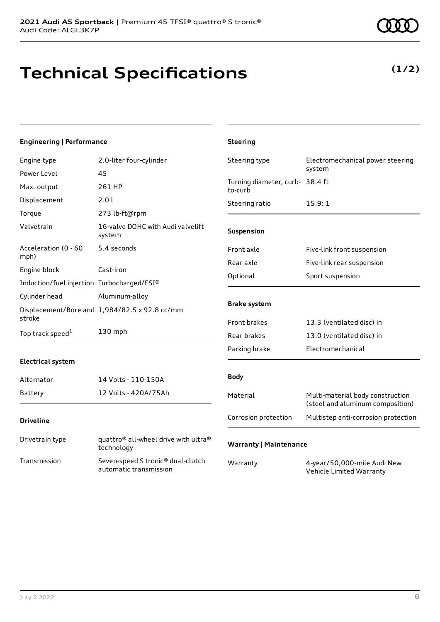**(1/2)**

## **Technical Specifications**

### **Engineering | Performance**

| Engine type                                | 2.0-liter four-cylinder                                                    | Steering type                              | Electromechanical power steering                                     |
|--------------------------------------------|----------------------------------------------------------------------------|--------------------------------------------|----------------------------------------------------------------------|
| Power Level                                | 45                                                                         |                                            | system                                                               |
| Max. output                                | 261 HP                                                                     | Turning diameter, curb- 38.4 ft<br>to-curb |                                                                      |
| Displacement                               | 2.01                                                                       | Steering ratio                             | 15.9:1                                                               |
| Torque                                     | 273 lb-ft@rpm                                                              |                                            |                                                                      |
| Valvetrain                                 | 16-valve DOHC with Audi valvelift<br>system                                | Suspension                                 |                                                                      |
| Acceleration (0 - 60                       | 5.4 seconds                                                                | Front axle                                 | Five-link front suspension                                           |
| mph)                                       |                                                                            | Rear axle                                  | Five-link rear suspension                                            |
| Engine block                               | Cast-iron                                                                  | Optional                                   | Sport suspension                                                     |
| Induction/fuel injection Turbocharged/FSI® |                                                                            |                                            |                                                                      |
| Cylinder head                              | Aluminum-alloy                                                             |                                            |                                                                      |
| stroke                                     | Displacement/Bore and 1,984/82.5 x 92.8 cc/mm                              | <b>Brake system</b>                        |                                                                      |
|                                            |                                                                            | Front brakes                               | 13.3 (ventilated disc) in                                            |
| Top track speed <sup>1</sup>               | 130 mph                                                                    | Rear brakes                                | 13.0 (ventilated disc) in                                            |
|                                            |                                                                            | Parking brake                              | Electromechanical                                                    |
| <b>Electrical system</b>                   |                                                                            |                                            |                                                                      |
| Alternator                                 | 14 Volts - 110-150A                                                        | <b>Body</b>                                |                                                                      |
| Battery                                    | 12 Volts - 420A/75Ah                                                       | Material                                   | Multi-material body construction<br>(steel and aluminum composition) |
| <b>Driveline</b>                           |                                                                            | Corrosion protection                       | Multistep anti-corrosion protection                                  |
| Drivetrain type                            | quattro <sup>®</sup> all-wheel drive with ultra <sup>®</sup><br>technology | <b>Warranty   Maintenance</b>              |                                                                      |
| Transmission                               | Seven-speed S tronic® dual-clutch<br>automatic transmission                | Warranty                                   | 4-year/50,000-mile Audi New<br>Vehicle Limited Warranty              |

**Steering**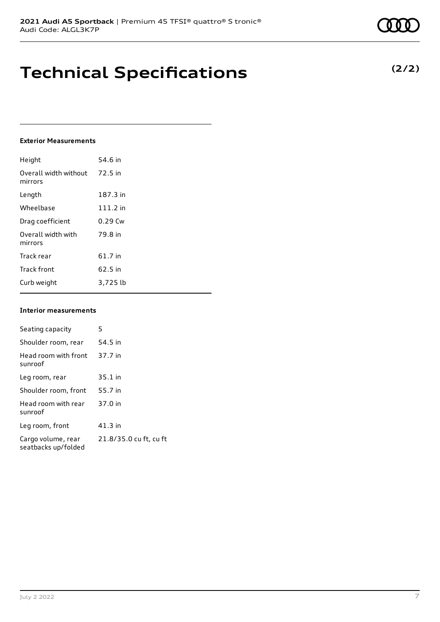## **Technical Specifications**

#### **Exterior Measurements**

| Height                           | 54.6 in    |
|----------------------------------|------------|
| Overall width without<br>mirrors | 72.5 in    |
| Length                           | 187.3 in   |
| Wheelbase                        | $111.2$ in |
| Drag coefficient                 | $0.29$ Cw  |
| Overall width with<br>mirrors    | 79.8 in    |
| Track rear                       | 61.7 in    |
| <b>Track front</b>               | 62.5 in    |
| Curb weight                      | 3,725 lb   |

#### **Interior measurements**

| Seating capacity                          | 5                      |
|-------------------------------------------|------------------------|
| Shoulder room, rear                       | 54.5 in                |
| Head room with front<br>sunroof           | 37.7 in                |
| Leg room, rear                            | $35.1$ in              |
| Shoulder room, front                      | 55.7 in                |
| Head room with rear<br>sunroof            | 37.0 in                |
| Leg room, front                           | $41.3$ in              |
| Cargo volume, rear<br>seatbacks up/folded | 21.8/35.0 cu ft, cu ft |

**(2/2)**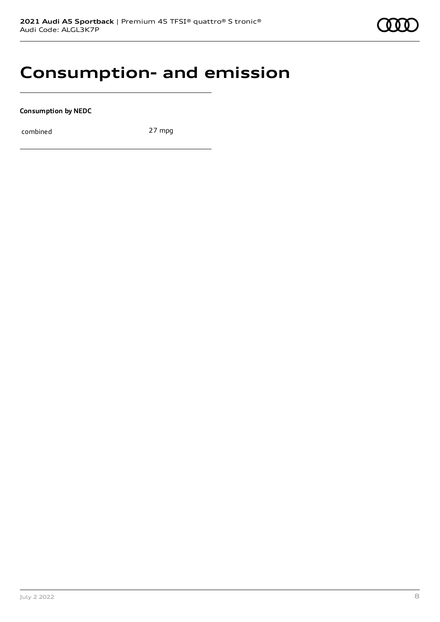### **Consumption- and emission**

**Consumption by NEDC**

combined 27 mpg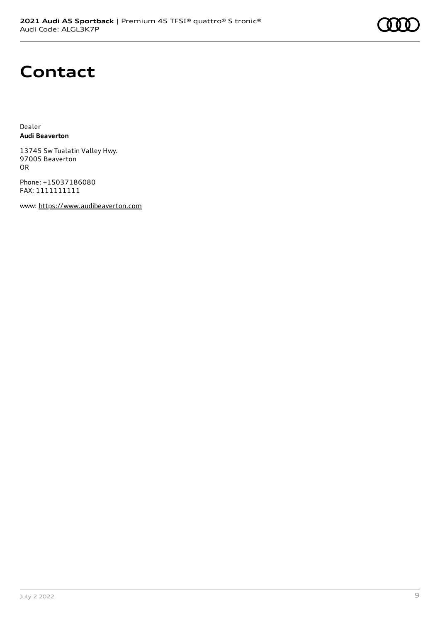

## **Contact**

Dealer **Audi Beaverton**

13745 Sw Tualatin Valley Hwy. 97005 Beaverton OR

Phone: +15037186080 FAX: 1111111111

www: [https://www.audibeaverton.com](https://www.audibeaverton.com/)